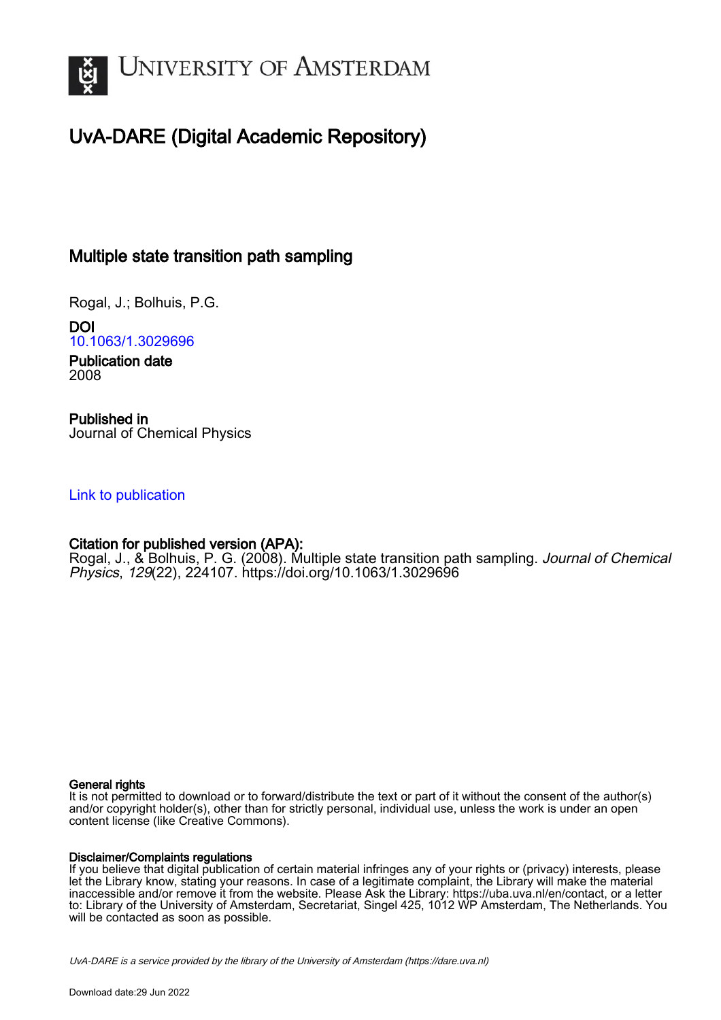

# UvA-DARE (Digital Academic Repository)

# Multiple state transition path sampling

Rogal, J.; Bolhuis, P.G.

DOI [10.1063/1.3029696](https://doi.org/10.1063/1.3029696)

Publication date 2008

Published in Journal of Chemical Physics

# [Link to publication](https://dare.uva.nl/personal/pure/en/publications/multiple-state-transition-path-sampling(08487b02-7b7a-4244-84c8-e2edb14f6531).html)

# Citation for published version (APA):

Rogal, J., & Bolhuis, P. G. (2008). Multiple state transition path sampling. Journal of Chemical Physics, 129(22), 224107. <https://doi.org/10.1063/1.3029696>

## General rights

It is not permitted to download or to forward/distribute the text or part of it without the consent of the author(s) and/or copyright holder(s), other than for strictly personal, individual use, unless the work is under an open content license (like Creative Commons).

## Disclaimer/Complaints regulations

If you believe that digital publication of certain material infringes any of your rights or (privacy) interests, please let the Library know, stating your reasons. In case of a legitimate complaint, the Library will make the material inaccessible and/or remove it from the website. Please Ask the Library: https://uba.uva.nl/en/contact, or a letter to: Library of the University of Amsterdam, Secretariat, Singel 425, 1012 WP Amsterdam, The Netherlands. You will be contacted as soon as possible.

UvA-DARE is a service provided by the library of the University of Amsterdam (http*s*://dare.uva.nl)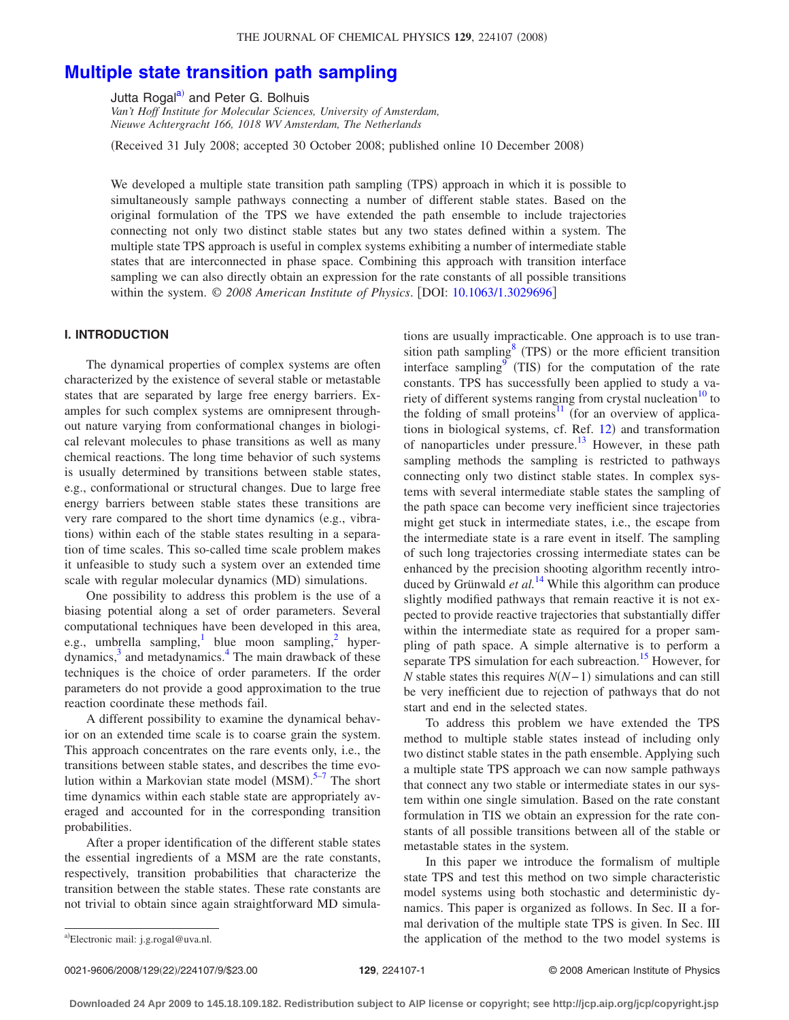# **[Multiple state transition path sampling](http://dx.doi.org/10.1063/1.3029696)**

Jutta Rogal<sup>a)</sup> and Peter G. Bolhuis

*Van't Hoff Institute for Molecular Sciences, University of Amsterdam, Nieuwe Achtergracht 166, 1018 WV Amsterdam, The Netherlands*

Received 31 July 2008; accepted 30 October 2008; published online 10 December 2008-

We developed a multiple state transition path sampling (TPS) approach in which it is possible to simultaneously sample pathways connecting a number of different stable states. Based on the original formulation of the TPS we have extended the path ensemble to include trajectories connecting not only two distinct stable states but any two states defined within a system. The multiple state TPS approach is useful in complex systems exhibiting a number of intermediate stable states that are interconnected in phase space. Combining this approach with transition interface sampling we can also directly obtain an expression for the rate constants of all possible transitions within the system. © *2008 American Institute of Physics*. DOI: [10.1063/1.3029696](http://dx.doi.org/10.1063/1.3029696)

## **I. INTRODUCTION**

The dynamical properties of complex systems are often characterized by the existence of several stable or metastable states that are separated by large free energy barriers. Examples for such complex systems are omnipresent throughout nature varying from conformational changes in biological relevant molecules to phase transitions as well as many chemical reactions. The long time behavior of such systems is usually determined by transitions between stable states, e.g., conformational or structural changes. Due to large free energy barriers between stable states these transitions are very rare compared to the short time dynamics (e.g., vibrations) within each of the stable states resulting in a separation of time scales. This so-called time scale problem makes it unfeasible to study such a system over an extended time scale with regular molecular dynamics (MD) simulations.

One possibility to address this problem is the use of a biasing potential along a set of order parameters. Several computational techniques have been developed in this area, e.g., umbrella sampling, blue moon sampling, hyperdynamics, $3$  and metadynamics.<sup>4</sup> The main drawback of these techniques is the choice of order parameters. If the order parameters do not provide a good approximation to the true reaction coordinate these methods fail.

A different possibility to examine the dynamical behavior on an extended time scale is to coarse grain the system. This approach concentrates on the rare events only, i.e., the transitions between stable states, and describes the time evo-lution within a Markovian state model (MSM).<sup>[5](#page-9-4)-7</sup> The short time dynamics within each stable state are appropriately averaged and accounted for in the corresponding transition probabilities.

After a proper identification of the different stable states the essential ingredients of a MSM are the rate constants, respectively, transition probabilities that characterize the transition between the stable states. These rate constants are not trivial to obtain since again straightforward MD simulations are usually impracticable. One approach is to use transition path sampling<sup>8</sup> (TPS) or the more efficient transition interface sampling<sup>9</sup> (TIS) for the computation of the rate constants. TPS has successfully been applied to study a variety of different systems ranging from crystal nucleation $10$  to the folding of small proteins $11$  (for an overview of applica-tions in biological systems, cf. Ref. [12](#page-9-10)) and transformation of nanoparticles under pressure.<sup>13</sup> However, in these path sampling methods the sampling is restricted to pathways connecting only two distinct stable states. In complex systems with several intermediate stable states the sampling of the path space can become very inefficient since trajectories might get stuck in intermediate states, i.e., the escape from the intermediate state is a rare event in itself. The sampling of such long trajectories crossing intermediate states can be enhanced by the precision shooting algorithm recently introduced by Grünwald *et al.*[14](#page-9-12) While this algorithm can produce slightly modified pathways that remain reactive it is not expected to provide reactive trajectories that substantially differ within the intermediate state as required for a proper sampling of path space. A simple alternative is to perform a separate TPS simulation for each subreaction.<sup>15</sup> However, for *N* stable states this requires  $N(N-1)$  simulations and can still be very inefficient due to rejection of pathways that do not start and end in the selected states.

To address this problem we have extended the TPS method to multiple stable states instead of including only two distinct stable states in the path ensemble. Applying such a multiple state TPS approach we can now sample pathways that connect any two stable or intermediate states in our system within one single simulation. Based on the rate constant formulation in TIS we obtain an expression for the rate constants of all possible transitions between all of the stable or metastable states in the system.

In this paper we introduce the formalism of multiple state TPS and test this method on two simple characteristic model systems using both stochastic and deterministic dynamics. This paper is organized as follows. In Sec. II a formal derivation of the multiple state TPS is given. In Sec. III the application of the method to the two model systems is

<span id="page-1-0"></span>Electronic mail: j.g.rogal@uva.nl.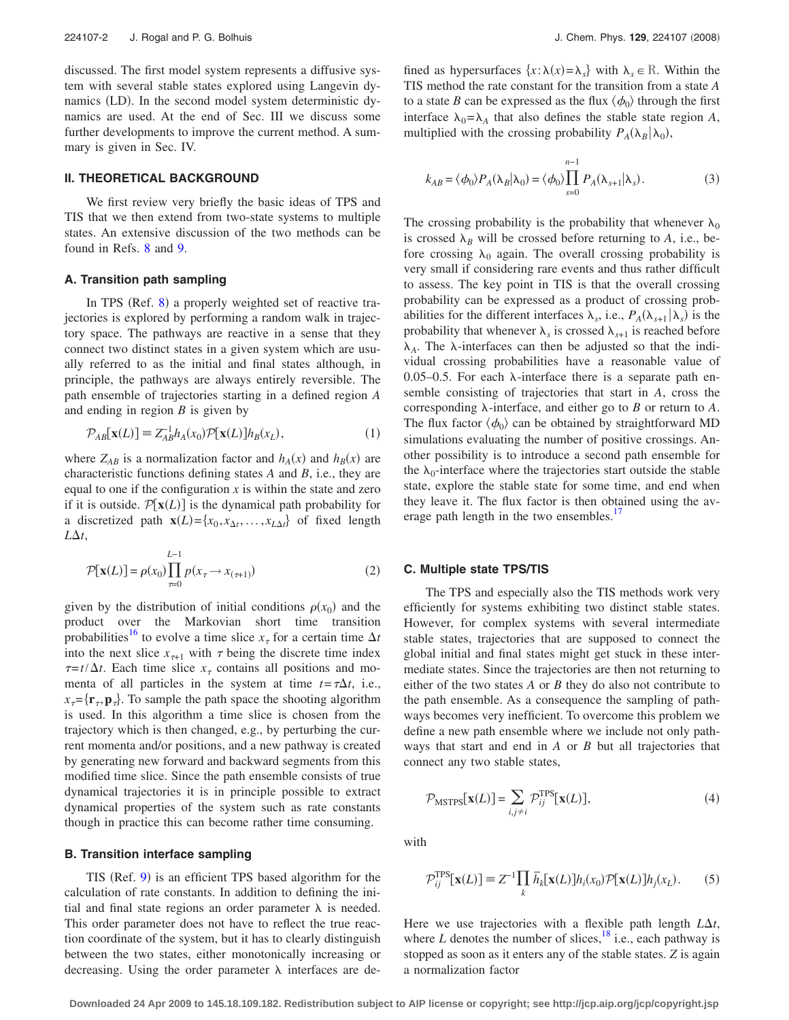discussed. The first model system represents a diffusive system with several stable states explored using Langevin dynamics (LD). In the second model system deterministic dynamics are used. At the end of Sec. III we discuss some further developments to improve the current method. A summary is given in Sec. IV.

#### **II. THEORETICAL BACKGROUND**

We first review very briefly the basic ideas of TPS and TIS that we then extend from two-state systems to multiple states. An extensive discussion of the two methods can be found in Refs. [8](#page-9-6) and [9.](#page-9-7)

#### **A. Transition path sampling**

In TPS (Ref. [8](#page-9-6)) a properly weighted set of reactive trajectories is explored by performing a random walk in trajectory space. The pathways are reactive in a sense that they connect two distinct states in a given system which are usually referred to as the initial and final states although, in principle, the pathways are always entirely reversible. The path ensemble of trajectories starting in a defined region *A* and ending in region *B* is given by

$$
\mathcal{P}_{AB}[\mathbf{x}(L)] \equiv Z_{AB}^{-1}h_A(x_0)\mathcal{P}[\mathbf{x}(L)]h_B(x_L),\tag{1}
$$

where  $Z_{AB}$  is a normalization factor and  $h_A(x)$  and  $h_B(x)$  are characteristic functions defining states *A* and *B*, i.e., they are equal to one if the configuration  $x$  is within the state and zero if it is outside.  $P[\mathbf{x}(L)]$  is the dynamical path probability for a discretized path  $\mathbf{x}(L) = \{x_0, x_{\Delta t}, \dots, x_{L \Delta t}\}\$  of fixed length  $L\Delta t$ ,

$$
\mathcal{P}[\mathbf{x}(L)] = \rho(x_0) \prod_{\tau=0}^{L-1} p(x_\tau \to x_{(\tau+1)})
$$
\n(2)

given by the distribution of initial conditions  $\rho(x_0)$  and the product over the Markovian short time transition probabilities<sup>16</sup> to evolve a time slice  $x<sub>\tau</sub>$  for a certain time  $\Delta t$ into the next slice  $x_{\tau+1}$  with  $\tau$  being the discrete time index  $\tau = t/\Delta t$ . Each time slice  $x_{\tau}$  contains all positions and momenta of all particles in the system at time  $t = \tau \Delta t$ , i.e.,  $x_{\tau} = {\bf r}_{\tau}, {\bf p}_{\tau}$ . To sample the path space the shooting algorithm is used. In this algorithm a time slice is chosen from the trajectory which is then changed, e.g., by perturbing the current momenta and/or positions, and a new pathway is created by generating new forward and backward segments from this modified time slice. Since the path ensemble consists of true dynamical trajectories it is in principle possible to extract dynamical properties of the system such as rate constants though in practice this can become rather time consuming.

### **B. Transition interface sampling**

TIS (Ref. [9](#page-9-7)) is an efficient TPS based algorithm for the calculation of rate constants. In addition to defining the initial and final state regions an order parameter  $\lambda$  is needed. This order parameter does not have to reflect the true reaction coordinate of the system, but it has to clearly distinguish between the two states, either monotonically increasing or decreasing. Using the order parameter  $\lambda$  interfaces are de-

fined as hypersurfaces  $\{x : \lambda(x) = \lambda_s\}$  with  $\lambda_s \in \mathbb{R}$ . Within the TIS method the rate constant for the transition from a state *A* to a state *B* can be expressed as the flux  $\langle \phi_0 \rangle$  through the first interface  $\lambda_0 = \lambda_A$  that also defines the stable state region *A*, multiplied with the crossing probability  $P_A(\lambda_B|\lambda_0)$ ,

<span id="page-2-1"></span>
$$
k_{AB} = \langle \phi_0 \rangle P_A(\lambda_B | \lambda_0) = \langle \phi_0 \rangle \prod_{s=0}^{n-1} P_A(\lambda_{s+1} | \lambda_s).
$$
 (3)

The crossing probability is the probability that whenever  $\lambda_0$ is crossed  $\lambda_B$  will be crossed before returning to *A*, i.e., before crossing  $\lambda_0$  again. The overall crossing probability is very small if considering rare events and thus rather difficult to assess. The key point in TIS is that the overall crossing probability can be expressed as a product of crossing probabilities for the different interfaces  $\lambda_s$ , i.e.,  $P_A(\lambda_{s+1}|\lambda_s)$  is the probability that whenever  $\lambda_s$  is crossed  $\lambda_{s+1}$  is reached before  $\lambda_A$ . The  $\lambda$ -interfaces can then be adjusted so that the individual crossing probabilities have a reasonable value of 0.05–0.5. For each  $\lambda$ -interface there is a separate path ensemble consisting of trajectories that start in *A*, cross the corresponding  $\lambda$ -interface, and either go to *B* or return to *A*. The flux factor  $\langle \phi_0 \rangle$  can be obtained by straightforward MD simulations evaluating the number of positive crossings. Another possibility is to introduce a second path ensemble for the  $\lambda_0$ -interface where the trajectories start outside the stable state, explore the stable state for some time, and end when they leave it. The flux factor is then obtained using the average path length in the two ensembles.<sup>17</sup>

#### **C. Multiple state TPS/TIS**

The TPS and especially also the TIS methods work very efficiently for systems exhibiting two distinct stable states. However, for complex systems with several intermediate stable states, trajectories that are supposed to connect the global initial and final states might get stuck in these intermediate states. Since the trajectories are then not returning to either of the two states *A* or *B* they do also not contribute to the path ensemble. As a consequence the sampling of pathways becomes very inefficient. To overcome this problem we define a new path ensemble where we include not only pathways that start and end in *A* or *B* but all trajectories that connect any two stable states,

$$
\mathcal{P}_{\text{MSTPS}}[\mathbf{x}(L)] = \sum_{i,j \neq i} \mathcal{P}_{ij}^{\text{TPS}}[\mathbf{x}(L)],\tag{4}
$$

with

<span id="page-2-0"></span>
$$
\mathcal{P}_{ij}^{\text{TPS}}[\mathbf{x}(L)] \equiv Z^{-1} \prod_{k} \bar{h}_{k}[\mathbf{x}(L)] h_{i}(x_{0}) \mathcal{P}[\mathbf{x}(L)] h_{j}(x_{L}). \tag{5}
$$

Here we use trajectories with a flexible path length  $L\Delta t$ , where *L* denotes the number of slices,  $^{18}$  i.e., each pathway is stopped as soon as it enters any of the stable states. *Z* is again a normalization factor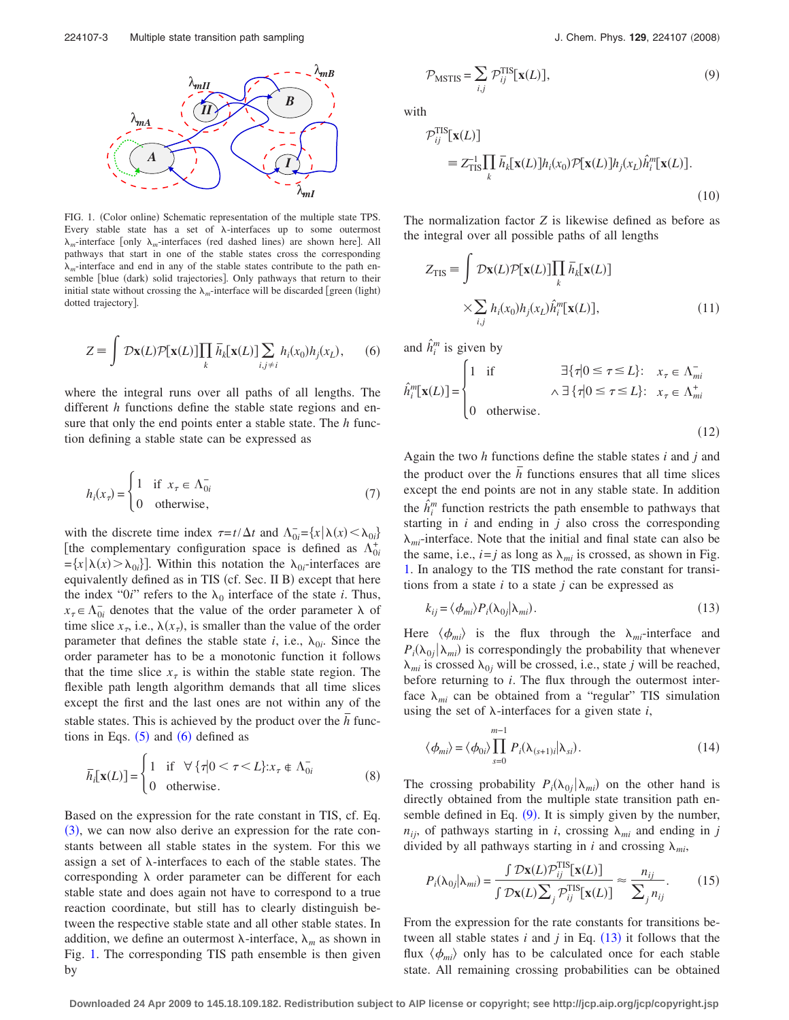<span id="page-3-1"></span>

FIG. 1. (Color online) Schematic representation of the multiple state TPS. Every stable state has a set of  $\lambda$ -interfaces up to some outermost  $\lambda_m$ -interface [only  $\lambda_m$ -interfaces (red dashed lines) are shown here]. All pathways that start in one of the stable states cross the corresponding  $\lambda_m$ -interface and end in any of the stable states contribute to the path ensemble [blue (dark) solid trajectories]. Only pathways that return to their initial state without crossing the  $\lambda_m$ -interface will be discarded [green (light) dotted trajectory].

<span id="page-3-0"></span>
$$
Z = \int \mathcal{D}\mathbf{x}(L)\mathcal{P}[\mathbf{x}(L)] \prod_{k} \bar{h}_{k}[\mathbf{x}(L)] \sum_{i,j \neq i} h_{i}(x_{0})h_{j}(x_{L}), \qquad (6)
$$

where the integral runs over all paths of all lengths. The different *h* functions define the stable state regions and ensure that only the end points enter a stable state. The *h* function defining a stable state can be expressed as

$$
h_i(x_\tau) = \begin{cases} 1 & \text{if } x_\tau \in \Lambda_{0i}^- \\ 0 & \text{otherwise,} \end{cases}
$$
 (7)

with the discrete time index  $\tau = t/\Delta t$  and  $\Lambda_{0i}^- = \{x \mid \lambda(x) < \lambda_{0i}\}$ [the complementary configuration space is defined as  $\Lambda_{0i}^+$  $=\{x \mid \lambda(x) > \lambda_{0i}\}\]$ . Within this notation the  $\lambda_{0i}$ -interfaces are equivalently defined as in TIS (cf. Sec. II B) except that here the index " $0i$ " refers to the  $\lambda_0$  interface of the state *i*. Thus,  $x_{\tau} \in \Lambda_{0i}^-$  denotes that the value of the order parameter  $\lambda$  of time slice  $x_{\tau}$ , i.e.,  $\lambda(x_{\tau})$ , is smaller than the value of the order parameter that defines the stable state  $i$ , i.e.,  $\lambda_{0i}$ . Since the order parameter has to be a monotonic function it follows that the time slice  $x<sub>\tau</sub>$  is within the stable state region. The flexible path length algorithm demands that all time slices except the first and the last ones are not within any of the stable states. This is achieved by the product over the  $h$  functions in Eqs.  $(5)$  $(5)$  $(5)$  and  $(6)$  $(6)$  $(6)$  defined as

$$
\overline{h}_i[\mathbf{x}(L)] = \begin{cases} 1 & \text{if } \forall {\{\tau | 0 < \tau < L\}} : x_{\tau} \notin \Lambda_{0i}^- \\ 0 & \text{otherwise.} \end{cases}
$$
 (8)

Based on the expression for the rate constant in TIS, cf. Eq. ([3](#page-2-1)), we can now also derive an expression for the rate constants between all stable states in the system. For this we assign a set of  $\lambda$ -interfaces to each of the stable states. The corresponding  $\lambda$  order parameter can be different for each stable state and does again not have to correspond to a true reaction coordinate, but still has to clearly distinguish between the respective stable state and all other stable states. In addition, we define an outermost  $\lambda$ -interface,  $\lambda_m$  as shown in Fig. [1.](#page-3-1) The corresponding TIS path ensemble is then given by

<span id="page-3-2"></span>
$$
\mathcal{P}_{\text{MSTIS}} = \sum_{i,j} \mathcal{P}_{ij}^{\text{TIS}}[\mathbf{x}(L)],\tag{9}
$$

with

$$
\mathcal{P}_{ij}^{\text{TIS}}[\mathbf{x}(L)]
$$
\n
$$
\equiv Z_{\text{TIS}}^{-1} \prod_{k} \bar{h}_{k}[\mathbf{x}(L)] h_{i}(x_{0}) \mathcal{P}[\mathbf{x}(L)] h_{j}(x_{L}) \hat{h}_{i}^{m}[\mathbf{x}(L)].
$$
\n(10)

The normalization factor *Z* is likewise defined as before as the integral over all possible paths of all lengths

$$
Z_{\text{TIS}} = \int \mathcal{D}\mathbf{x}(L)\mathcal{P}[\mathbf{x}(L)] \prod_{k} \bar{h}_{k}[\mathbf{x}(L)]
$$

$$
\times \sum_{i,j} h_{i}(x_{0})h_{j}(x_{L})\hat{h}_{i}^{m}[\mathbf{x}(L)], \qquad (11)
$$

and  $\hat{h}^m_i$  is given by

$$
\hat{h}_i^m[\mathbf{x}(L)] = \begin{cases}\n1 & \text{if } & \exists \{\tau | 0 \le \tau \le L\}: \quad x_\tau \in \Lambda_{mi}^- \\
0 & \text{otherwise.} \end{cases}
$$
\n
$$
\lambda \exists \{\tau | 0 \le \tau \le L\}: \quad x_\tau \in \Lambda_{mi}^+
$$
\n
$$
(12)
$$

Again the two *h* functions define the stable states *i* and *j* and the product over the  $\overline{h}$  functions ensures that all time slices except the end points are not in any stable state. In addition the  $\hat{h}^m_i$  function restricts the path ensemble to pathways that starting in *i* and ending in *j* also cross the corresponding  $\lambda_{mi}$ -interface. Note that the initial and final state can also be the same, i.e.,  $i=j$  as long as  $\lambda_{mi}$  is crossed, as shown in Fig. [1.](#page-3-1) In analogy to the TIS method the rate constant for transitions from a state *i* to a state *j* can be expressed as

$$
k_{ij} = \langle \phi_{mi} \rangle P_i(\lambda_{0j} | \lambda_{mi}). \tag{13}
$$

<span id="page-3-3"></span>Here  $\langle \phi_{mi} \rangle$  is the flux through the  $\lambda_{mi}$ -interface and  $P_i(\lambda_{0j}|\lambda_{mi})$  is correspondingly the probability that whenever  $\lambda_{mi}$  is crossed  $\lambda_{0j}$  will be crossed, i.e., state *j* will be reached, before returning to *i*. The flux through the outermost interface  $\lambda_{mi}$  can be obtained from a "regular" TIS simulation using the set of  $\lambda$ -interfaces for a given state *i*,

$$
\langle \phi_{mi} \rangle = \langle \phi_{0i} \rangle \prod_{s=0}^{m-1} P_i(\lambda_{(s+1)i} | \lambda_{si}). \tag{14}
$$

The crossing probability  $P_i(\lambda_{0j} | \lambda_{mi})$  on the other hand is directly obtained from the multiple state transition path ensemble defined in Eq.  $(9)$  $(9)$  $(9)$ . It is simply given by the number,  $n_{ij}$ , of pathways starting in *i*, crossing  $\lambda_{mi}$  and ending in *j* divided by all pathways starting in *i* and crossing  $\lambda_{mi}$ ,

$$
P_i(\lambda_{0j}|\lambda_{mi}) = \frac{\int \mathcal{D}\mathbf{x}(L)\mathcal{P}_{ij}^{TIS}[\mathbf{x}(L)]}{\int \mathcal{D}\mathbf{x}(L)\sum_j \mathcal{P}_{ij}^{TIS}[\mathbf{x}(L)]} \approx \frac{n_{ij}}{\sum_j n_{ij}}.
$$
 (15)

From the expression for the rate constants for transitions between all stable states  $i$  and  $j$  in Eq.  $(13)$  $(13)$  $(13)$  it follows that the flux  $\langle \phi_{mi} \rangle$  only has to be calculated once for each stable state. All remaining crossing probabilities can be obtained

**Downloaded 24 Apr 2009 to 145.18.109.182. Redistribution subject to AIP license or copyright; see http://jcp.aip.org/jcp/copyright.jsp**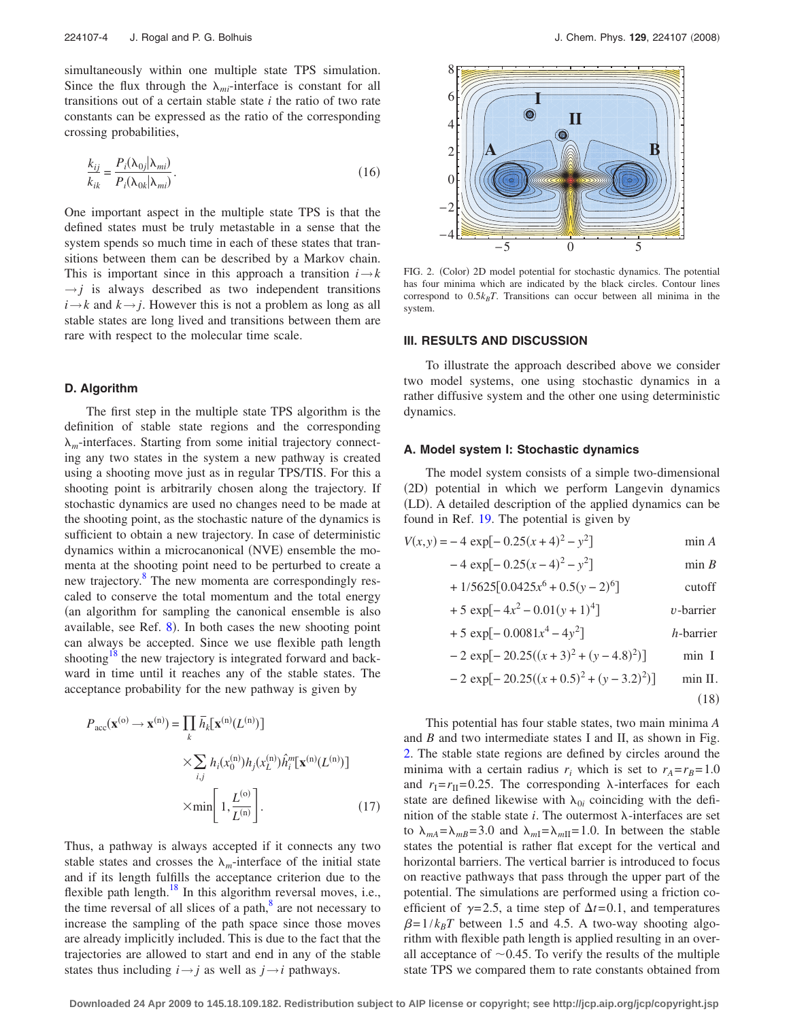simultaneously within one multiple state TPS simulation. Since the flux through the  $\lambda_{mi}$ -interface is constant for all transitions out of a certain stable state *i* the ratio of two rate constants can be expressed as the ratio of the corresponding crossing probabilities,

<span id="page-4-1"></span>
$$
\frac{k_{ij}}{k_{ik}} = \frac{P_i(\lambda_{0j}|\lambda_{mi})}{P_i(\lambda_{0k}|\lambda_{mi})}.
$$
\n(16)

One important aspect in the multiple state TPS is that the defined states must be truly metastable in a sense that the system spends so much time in each of these states that transitions between them can be described by a Markov chain. This is important since in this approach a transition  $i \rightarrow k$  $\rightarrow j$  is always described as two independent transitions  $i \rightarrow k$  and  $k \rightarrow j$ . However this is not a problem as long as all stable states are long lived and transitions between them are rare with respect to the molecular time scale.

#### **D. Algorithm**

The first step in the multiple state TPS algorithm is the definition of stable state regions and the corresponding  $\lambda_m$ -interfaces. Starting from some initial trajectory connecting any two states in the system a new pathway is created using a shooting move just as in regular TPS/TIS. For this a shooting point is arbitrarily chosen along the trajectory. If stochastic dynamics are used no changes need to be made at the shooting point, as the stochastic nature of the dynamics is sufficient to obtain a new trajectory. In case of deterministic dynamics within a microcanonical (NVE) ensemble the momenta at the shooting point need to be perturbed to create a new trajectory.<sup>8</sup> The new momenta are correspondingly rescaled to conserve the total momentum and the total energy an algorithm for sampling the canonical ensemble is also available, see Ref. [8](#page-9-6)). In both cases the new shooting point can always be accepted. Since we use flexible path length shooting $18$  the new trajectory is integrated forward and backward in time until it reaches any of the stable states. The acceptance probability for the new pathway is given by

$$
P_{\text{acc}}(\mathbf{x}^{(0)} \to \mathbf{x}^{(n)}) = \prod_{k} \overline{h}_{k} [\mathbf{x}^{(n)}(L^{(n)})]
$$

$$
\times \sum_{i,j} h_{i}(x_{0}^{(n)}) h_{j}(x_{L}^{(n)}) \hat{h}_{i}^{m} [\mathbf{x}^{(n)}(L^{(n)})]
$$

$$
\times \min \left[ 1, \frac{L^{(0)}}{L^{(n)}} \right].
$$
(17)

Thus, a pathway is always accepted if it connects any two stable states and crosses the  $\lambda_m$ -interface of the initial state and if its length fulfills the acceptance criterion due to the flexible path length. $18$  In this algorithm reversal moves, i.e., the time reversal of all slices of a path, $\frac{8}{3}$  are not necessary to increase the sampling of the path space since those moves are already implicitly included. This is due to the fact that the trajectories are allowed to start and end in any of the stable states thus including  $i \rightarrow j$  as well as  $j \rightarrow i$  pathways.

<span id="page-4-0"></span>

FIG. 2. (Color) 2D model potential for stochastic dynamics. The potential has four minima which are indicated by the black circles. Contour lines correspond to  $0.5k_BT$ . Transitions can occur between all minima in the system.

#### **III. RESULTS AND DISCUSSION**

To illustrate the approach described above we consider two model systems, one using stochastic dynamics in a rather diffusive system and the other one using deterministic dynamics.

### **A. Model system I: Stochastic dynamics**

The model system consists of a simple two-dimensional (2D) potential in which we perform Langevin dynamics (LD). A detailed description of the applied dynamics can be found in Ref. [19.](#page-9-17) The potential is given by

$$
V(x,y) = -4 \exp[-0.25(x+4)^{2} - y^{2}] \qquad \text{min } A
$$
  
\n
$$
-4 \exp[-0.25(x+4)^{2} - y^{2}] \qquad \text{min } B
$$
  
\n
$$
+ 1/5625[0.0425x^{6} + 0.5(y-2)^{6}] \qquad \text{cutoff}
$$
  
\n
$$
+5 \exp[-4x^{2} - 0.01(y+1)^{4}] \qquad v\text{-barrier}
$$
  
\n
$$
+5 \exp[-0.0081x^{4} - 4y^{2}] \qquad h\text{-barrier}
$$
  
\n
$$
-2 \exp[-20.25((x+3)^{2} + (y-4.8)^{2})] \qquad \text{min } I
$$

$$
-2 \exp[-20.25((x+0.5)^{2}+(y-3.2)^{2})] \qquad \text{min II}.
$$

 $(18)$ 

This potential has four stable states, two main minima *A* and *B* and two intermediate states I and II, as shown in Fig. [2.](#page-4-0) The stable state regions are defined by circles around the minima with a certain radius  $r_i$  which is set to  $r_A = r_B = 1.0$ and  $r_I = r_{II} = 0.25$ . The corresponding  $\lambda$ -interfaces for each state are defined likewise with  $\lambda_{0i}$  coinciding with the definition of the stable state  $i$ . The outermost  $\lambda$ -interfaces are set to  $\lambda_{mA} = \lambda_{mB} = 3.0$  and  $\lambda_{mI} = \lambda_{mII} = 1.0$ . In between the stable states the potential is rather flat except for the vertical and horizontal barriers. The vertical barrier is introduced to focus on reactive pathways that pass through the upper part of the potential. The simulations are performed using a friction coefficient of  $\gamma = 2.5$ , a time step of  $\Delta t = 0.1$ , and temperatures  $\beta = 1/k_B T$  between 1.5 and 4.5. A two-way shooting algorithm with flexible path length is applied resulting in an overall acceptance of  $\sim$  0.45. To verify the results of the multiple state TPS we compared them to rate constants obtained from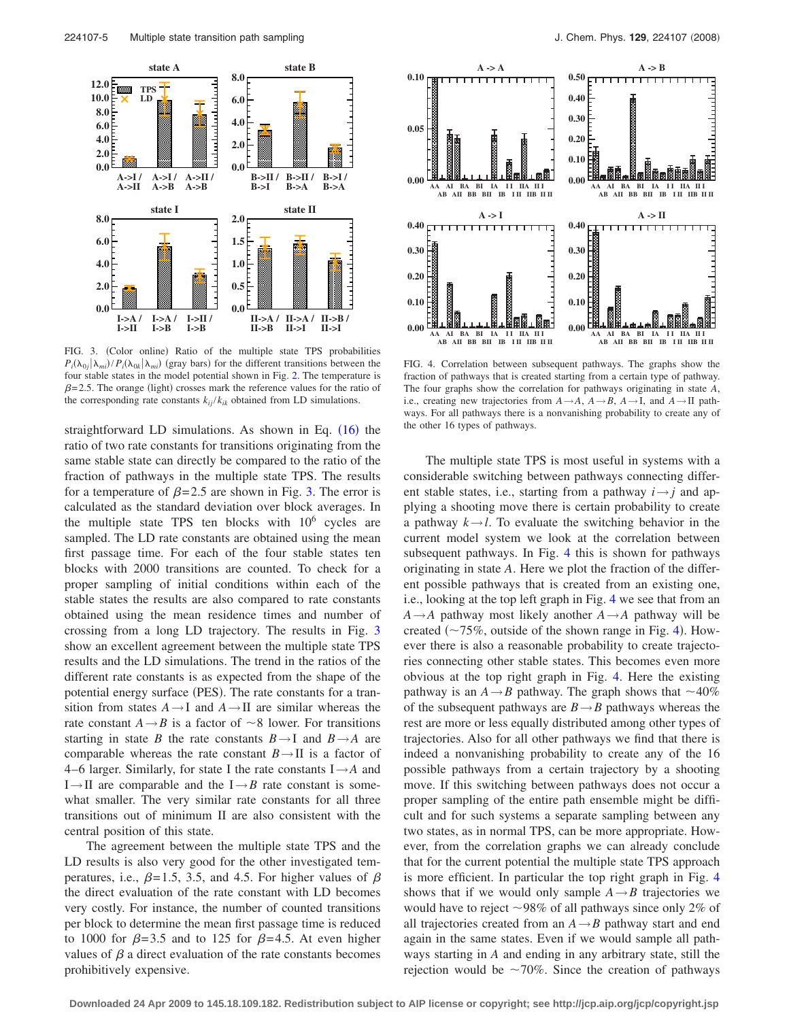<span id="page-5-0"></span>

FIG. 3. (Color online) Ratio of the multiple state TPS probabilities  $P_i(\lambda_{0j}|\lambda_{mi})/P_i(\lambda_{0k}|\lambda_{mi})$  (gray bars) for the different transitions between the four stable states in the model potential shown in Fig. [2.](#page-4-0) The temperature is  $\beta$ =2.5. The orange (light) crosses mark the reference values for the ratio of the corresponding rate constants  $k_{ij}/k_{ik}$  obtained from LD simulations.

straightforward LD simulations. As shown in Eq. ([16](#page-4-1)) the ratio of two rate constants for transitions originating from the same stable state can directly be compared to the ratio of the fraction of pathways in the multiple state TPS. The results for a temperature of  $\beta$ =2.5 are shown in Fig. [3.](#page-5-0) The error is calculated as the standard deviation over block averages. In the multiple state TPS ten blocks with  $10^6$  cycles are sampled. The LD rate constants are obtained using the mean first passage time. For each of the four stable states ten blocks with 2000 transitions are counted. To check for a proper sampling of initial conditions within each of the stable states the results are also compared to rate constants obtained using the mean residence times and number of crossing from a long LD trajectory. The results in Fig. [3](#page-5-0) show an excellent agreement between the multiple state TPS results and the LD simulations. The trend in the ratios of the different rate constants is as expected from the shape of the potential energy surface (PES). The rate constants for a transition from states  $A \rightarrow I$  and  $A \rightarrow II$  are similar whereas the rate constant  $A \rightarrow B$  is a factor of  $\sim 8$  lower. For transitions starting in state *B* the rate constants  $B \rightarrow I$  and  $B \rightarrow A$  are comparable whereas the rate constant  $B \rightarrow H$  is a factor of 4–6 larger. Similarly, for state I the rate constants I→*A* and I→II are comparable and the I→*B* rate constant is somewhat smaller. The very similar rate constants for all three transitions out of minimum II are also consistent with the central position of this state.

The agreement between the multiple state TPS and the LD results is also very good for the other investigated temperatures, i.e.,  $\beta$ =1.5, 3.5, and 4.5. For higher values of  $\beta$ the direct evaluation of the rate constant with LD becomes very costly. For instance, the number of counted transitions per block to determine the mean first passage time is reduced to 1000 for  $\beta$ =3.5 and to 125 for  $\beta$ =4.5. At even higher values of  $\beta$  a direct evaluation of the rate constants becomes prohibitively expensive.

<span id="page-5-1"></span>

FIG. 4. Correlation between subsequent pathways. The graphs show the fraction of pathways that is created starting from a certain type of pathway. The four graphs show the correlation for pathways originating in state *A*, i.e., creating new trajectories from  $A \rightarrow A$ ,  $A \rightarrow B$ ,  $A \rightarrow I$ , and  $A \rightarrow II$  pathways. For all pathways there is a nonvanishing probability to create any of the other 16 types of pathways.

The multiple state TPS is most useful in systems with a considerable switching between pathways connecting different stable states, i.e., starting from a pathway  $i \rightarrow j$  and applying a shooting move there is certain probability to create a pathway  $k \rightarrow l$ . To evaluate the switching behavior in the current model system we look at the correlation between subsequent pathways. In Fig. [4](#page-5-1) this is shown for pathways originating in state *A*. Here we plot the fraction of the different possible pathways that is created from an existing one, i.e., looking at the top left graph in Fig. [4](#page-5-1) we see that from an  $A \rightarrow A$  pathway most likely another  $A \rightarrow A$  pathway will be created  $(\sim 75\%$ , outside of the shown range in Fig. [4](#page-5-1)). However there is also a reasonable probability to create trajectories connecting other stable states. This becomes even more obvious at the top right graph in Fig. [4.](#page-5-1) Here the existing pathway is an  $A \rightarrow B$  pathway. The graph shows that  $\sim 40\%$ of the subsequent pathways are  $B \rightarrow B$  pathways whereas the rest are more or less equally distributed among other types of trajectories. Also for all other pathways we find that there is indeed a nonvanishing probability to create any of the 16 possible pathways from a certain trajectory by a shooting move. If this switching between pathways does not occur a proper sampling of the entire path ensemble might be difficult and for such systems a separate sampling between any two states, as in normal TPS, can be more appropriate. However, from the correlation graphs we can already conclude that for the current potential the multiple state TPS approach is more efficient. In particular the top right graph in Fig. [4](#page-5-1) shows that if we would only sample  $A \rightarrow B$  trajectories we would have to reject  $\sim 98\%$  of all pathways since only 2% of all trajectories created from an  $A \rightarrow B$  pathway start and end again in the same states. Even if we would sample all pathways starting in *A* and ending in any arbitrary state, still the rejection would be  $\sim$ 70%. Since the creation of pathways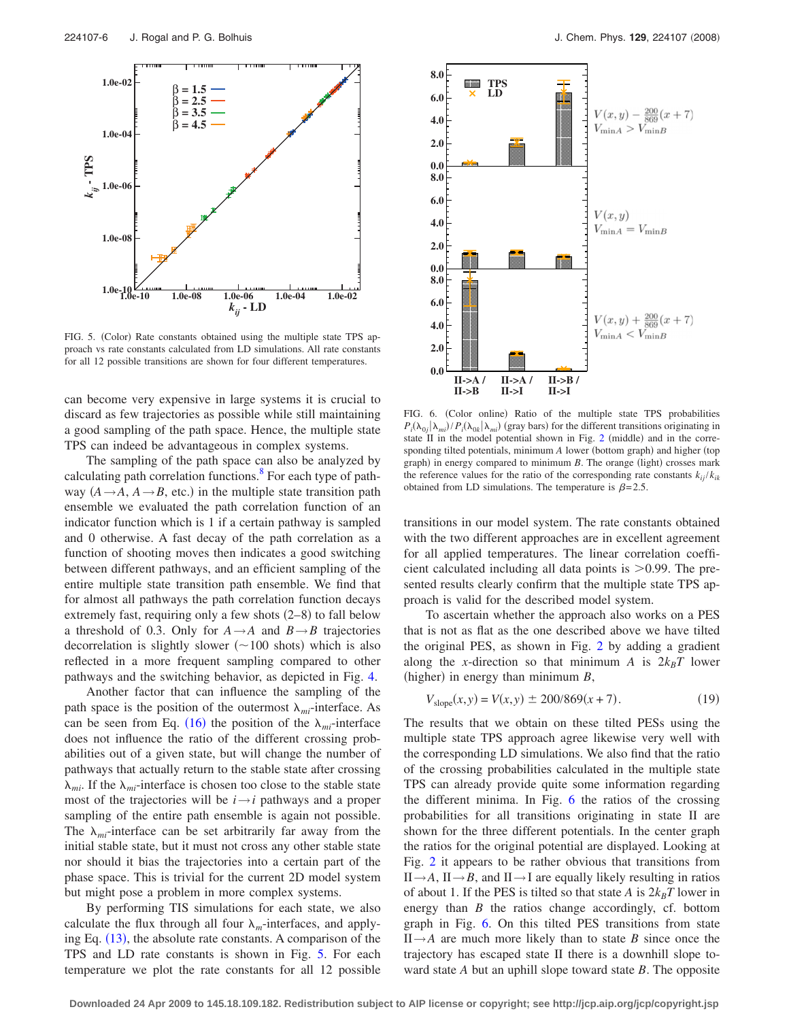<span id="page-6-0"></span>

FIG. 5. (Color) Rate constants obtained using the multiple state TPS approach vs rate constants calculated from LD simulations. All rate constants for all 12 possible transitions are shown for four different temperatures.

can become very expensive in large systems it is crucial to discard as few trajectories as possible while still maintaining a good sampling of the path space. Hence, the multiple state TPS can indeed be advantageous in complex systems.

The sampling of the path space can also be analyzed by calculating path correlation functions.<sup>8</sup> For each type of pathway  $(A \rightarrow A, A \rightarrow B, \text{ etc.})$  in the multiple state transition path ensemble we evaluated the path correlation function of an indicator function which is 1 if a certain pathway is sampled and 0 otherwise. A fast decay of the path correlation as a function of shooting moves then indicates a good switching between different pathways, and an efficient sampling of the entire multiple state transition path ensemble. We find that for almost all pathways the path correlation function decays extremely fast, requiring only a few shots  $(2-8)$  to fall below a threshold of 0.3. Only for  $A \rightarrow A$  and  $B \rightarrow B$  trajectories decorrelation is slightly slower  $(\sim 100$  shots) which is also reflected in a more frequent sampling compared to other pathways and the switching behavior, as depicted in Fig. [4.](#page-5-1)

Another factor that can influence the sampling of the path space is the position of the outermost  $\lambda_{mi}$ -interface. As can be seen from Eq. ([16](#page-4-1)) the position of the  $\lambda_{mi}$ -interface does not influence the ratio of the different crossing probabilities out of a given state, but will change the number of pathways that actually return to the stable state after crossing  $\lambda_{mi}$ . If the  $\lambda_{mi}$ -interface is chosen too close to the stable state most of the trajectories will be  $i \rightarrow i$  pathways and a proper sampling of the entire path ensemble is again not possible. The  $\lambda_{mi}$ -interface can be set arbitrarily far away from the initial stable state, but it must not cross any other stable state nor should it bias the trajectories into a certain part of the phase space. This is trivial for the current 2D model system but might pose a problem in more complex systems.

By performing TIS simulations for each state, we also calculate the flux through all four  $\lambda_m$ -interfaces, and applying Eq.  $(13)$  $(13)$  $(13)$ , the absolute rate constants. A comparison of the TPS and LD rate constants is shown in Fig. [5.](#page-6-0) For each temperature we plot the rate constants for all 12 possible

<span id="page-6-1"></span>

FIG. 6. (Color online) Ratio of the multiple state TPS probabilities  $P_i(\lambda_{0j}|\lambda_{mi})/P_i(\lambda_{0k}|\lambda_{mi})$  (gray bars) for the different transitions originating in state II in the model potential shown in Fig. [2](#page-4-0) (middle) and in the corresponding tilted potentials, minimum A lower (bottom graph) and higher (top graph) in energy compared to minimum *B*. The orange (light) crosses mark the reference values for the ratio of the corresponding rate constants  $k_{ij}/k_{ik}$ obtained from LD simulations. The temperature is  $\beta$ =2.5.

transitions in our model system. The rate constants obtained with the two different approaches are in excellent agreement for all applied temperatures. The linear correlation coefficient calculated including all data points is  $>0.99$ . The presented results clearly confirm that the multiple state TPS approach is valid for the described model system.

To ascertain whether the approach also works on a PES that is not as flat as the one described above we have tilted the original PES, as shown in Fig. [2](#page-4-0) by adding a gradient along the *x*-direction so that minimum *A* is  $2k_BT$  lower (higher) in energy than minimum  $B$ ,

$$
V_{\text{slope}}(x, y) = V(x, y) \pm 200/869(x + 7). \tag{19}
$$

The results that we obtain on these tilted PESs using the multiple state TPS approach agree likewise very well with the corresponding LD simulations. We also find that the ratio of the crossing probabilities calculated in the multiple state TPS can already provide quite some information regarding the different minima. In Fig. [6](#page-6-1) the ratios of the crossing probabilities for all transitions originating in state II are shown for the three different potentials. In the center graph the ratios for the original potential are displayed. Looking at Fig. [2](#page-4-0) it appears to be rather obvious that transitions from  $II \rightarrow A$ ,  $II \rightarrow B$ , and  $II \rightarrow I$  are equally likely resulting in ratios of about 1. If the PES is tilted so that state *A* is  $2k_BT$  lower in energy than *B* the ratios change accordingly, cf. bottom graph in Fig. [6.](#page-6-1) On this tilted PES transitions from state  $II \rightarrow A$  are much more likely than to state *B* since once the trajectory has escaped state II there is a downhill slope toward state *A* but an uphill slope toward state *B*. The opposite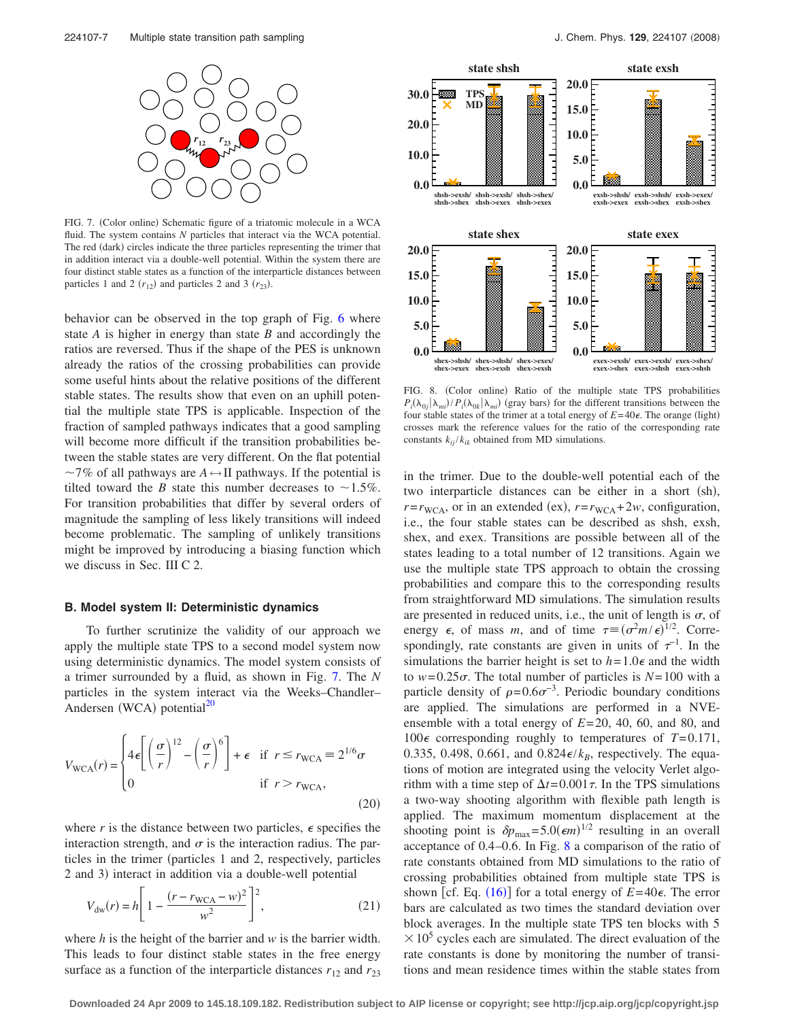<span id="page-7-0"></span>

FIG. 7. (Color online) Schematic figure of a triatomic molecule in a WCA fluid. The system contains *N* particles that interact via the WCA potential. The red (dark) circles indicate the three particles representing the trimer that in addition interact via a double-well potential. Within the system there are four distinct stable states as a function of the interparticle distances between particles 1 and 2  $(r_{12})$  and particles 2 and 3  $(r_{23})$ .

behavior can be observed in the top graph of Fig. [6](#page-6-1) where state *A* is higher in energy than state *B* and accordingly the ratios are reversed. Thus if the shape of the PES is unknown already the ratios of the crossing probabilities can provide some useful hints about the relative positions of the different stable states. The results show that even on an uphill potential the multiple state TPS is applicable. Inspection of the fraction of sampled pathways indicates that a good sampling will become more difficult if the transition probabilities between the stable states are very different. On the flat potential  $\sim$ 7% of all pathways are  $A \leftrightarrow$ II pathways. If the potential is tilted toward the *B* state this number decreases to  $\sim$  1.5%. For transition probabilities that differ by several orders of magnitude the sampling of less likely transitions will indeed become problematic. The sampling of unlikely transitions might be improved by introducing a biasing function which we discuss in Sec. III C 2.

#### **B. Model system II: Deterministic dynamics**

To further scrutinize the validity of our approach we apply the multiple state TPS to a second model system now using deterministic dynamics. The model system consists of a trimer surrounded by a fluid, as shown in Fig. [7.](#page-7-0) The *N* particles in the system interact via the Weeks–Chandler– Andersen (WCA) potential $^{20}$ 

$$
V_{\text{WCA}}(r) = \begin{cases} 4\epsilon \left[ \left( \frac{\sigma}{r} \right)^{12} - \left( \frac{\sigma}{r} \right)^6 \right] + \epsilon & \text{if } r \le r_{\text{WCA}} \equiv 2^{1/6} \sigma \\ 0 & \text{if } r > r_{\text{WCA}}, \end{cases}
$$
(20)

where *r* is the distance between two particles,  $\epsilon$  specifies the interaction strength, and  $\sigma$  is the interaction radius. The particles in the trimer (particles 1 and 2, respectively, particles 2 and 3) interact in addition via a double-well potential

$$
V_{\rm dw}(r) = h \left[ 1 - \frac{(r - r_{\rm WCA} - w)^2}{w^2} \right]^2, \tag{21}
$$

where *h* is the height of the barrier and *w* is the barrier width. This leads to four distinct stable states in the free energy surface as a function of the interparticle distances  $r_{12}$  and  $r_{23}$ 

<span id="page-7-1"></span>

FIG. 8. (Color online) Ratio of the multiple state TPS probabilities  $P_i(\lambda_{0j}|\lambda_{mi})/P_i(\lambda_{0k}|\lambda_{mi})$  (gray bars) for the different transitions between the four stable states of the trimer at a total energy of  $E=40\epsilon$ . The orange (light) crosses mark the reference values for the ratio of the corresponding rate constants  $k_{ij}/k_{ik}$  obtained from MD simulations.

in the trimer. Due to the double-well potential each of the two interparticle distances can be either in a short (sh),  $r = r_{\text{WCA}}$ , or in an extended (ex),  $r = r_{\text{WCA}} + 2w$ , configuration, i.e., the four stable states can be described as shsh, exsh, shex, and exex. Transitions are possible between all of the states leading to a total number of 12 transitions. Again we use the multiple state TPS approach to obtain the crossing probabilities and compare this to the corresponding results from straightforward MD simulations. The simulation results are presented in reduced units, i.e., the unit of length is  $\sigma$ , of energy  $\epsilon$ , of mass *m*, and of time  $\tau \equiv (\sigma^2 m/\epsilon)^{1/2}$ . Correspondingly, rate constants are given in units of  $\tau^{-1}$ . In the simulations the barrier height is set to  $h=1.0\epsilon$  and the width to  $w=0.25\sigma$ . The total number of particles is  $N=100$  with a particle density of  $\rho = 0.6\sigma^{-3}$ . Periodic boundary conditions are applied. The simulations are performed in a NVEensemble with a total energy of *E*= 20, 40, 60, and 80, and 100 $\epsilon$  corresponding roughly to temperatures of  $T=0.171$ , 0.335, 0.498, 0.661, and  $0.824\epsilon/k_B$ , respectively. The equations of motion are integrated using the velocity Verlet algorithm with a time step of  $\Delta t = 0.001 \tau$ . In the TPS simulations a two-way shooting algorithm with flexible path length is applied. The maximum momentum displacement at the shooting point is  $\delta p_{\text{max}} = 5.0 \, \epsilon m^{1/2}$  resulting in an overall acceptance of 0.4–0.6. In Fig. [8](#page-7-1) a comparison of the ratio of rate constants obtained from MD simulations to the ratio of crossing probabilities obtained from multiple state TPS is shown [cf. Eq.  $(16)$  $(16)$  $(16)$ ] for a total energy of  $E=40\epsilon$ . The error bars are calculated as two times the standard deviation over block averages. In the multiple state TPS ten blocks with 5  $\times$  10<sup>5</sup> cycles each are simulated. The direct evaluation of the rate constants is done by monitoring the number of transitions and mean residence times within the stable states from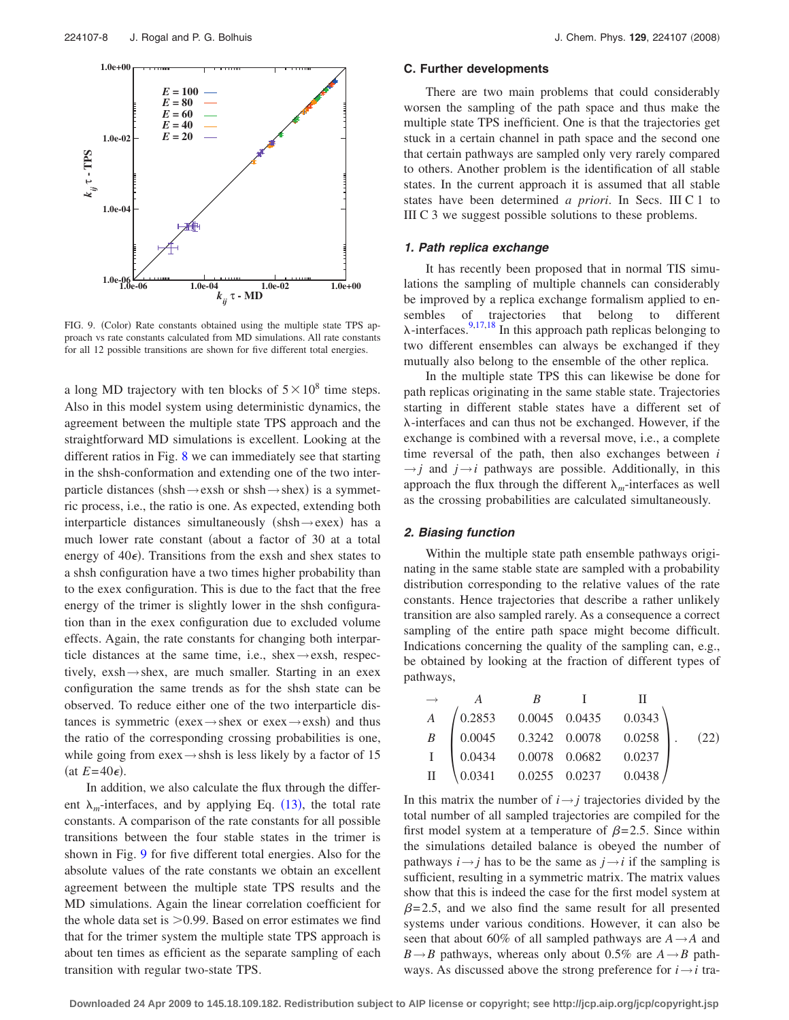<span id="page-8-0"></span>

FIG. 9. (Color) Rate constants obtained using the multiple state TPS approach vs rate constants calculated from MD simulations. All rate constants for all 12 possible transitions are shown for five different total energies.

a long MD trajectory with ten blocks of  $5 \times 10^8$  time steps. Also in this model system using deterministic dynamics, the agreement between the multiple state TPS approach and the straightforward MD simulations is excellent. Looking at the different ratios in Fig. [8](#page-7-1) we can immediately see that starting in the shsh-conformation and extending one of the two interparticle distances (shsh $\rightarrow$ exsh or shsh $\rightarrow$ shex) is a symmetric process, i.e., the ratio is one. As expected, extending both interparticle distances simultaneously  $(shsh \rightarrow exex)$  has a much lower rate constant (about a factor of 30 at a total energy of  $40\epsilon$ ). Transitions from the exsh and shex states to a shsh configuration have a two times higher probability than to the exex configuration. This is due to the fact that the free energy of the trimer is slightly lower in the shsh configuration than in the exex configuration due to excluded volume effects. Again, the rate constants for changing both interparticle distances at the same time, i.e., shex $\rightarrow$ exsh, respectively, exsh→shex, are much smaller. Starting in an exex configuration the same trends as for the shsh state can be observed. To reduce either one of the two interparticle distances is symmetric ( $exex \rightarrow shex$  or  $exex \rightarrow exsh$ ) and thus the ratio of the corresponding crossing probabilities is one, while going from exex $\rightarrow$ shsh is less likely by a factor of 15  $(at E=40\epsilon).$ 

In addition, we also calculate the flux through the different  $\lambda_m$ -interfaces, and by applying Eq. ([13](#page-3-3)), the total rate constants. A comparison of the rate constants for all possible transitions between the four stable states in the trimer is shown in Fig. [9](#page-8-0) for five different total energies. Also for the absolute values of the rate constants we obtain an excellent agreement between the multiple state TPS results and the MD simulations. Again the linear correlation coefficient for the whole data set is  $>$  0.99. Based on error estimates we find that for the trimer system the multiple state TPS approach is about ten times as efficient as the separate sampling of each transition with regular two-state TPS.

#### **C. Further developments**

There are two main problems that could considerably worsen the sampling of the path space and thus make the multiple state TPS inefficient. One is that the trajectories get stuck in a certain channel in path space and the second one that certain pathways are sampled only very rarely compared to others. Another problem is the identification of all stable states. In the current approach it is assumed that all stable states have been determined *a priori*. In Secs. III C 1 to III C 3 we suggest possible solutions to these problems.

#### *1. Path replica exchange*

It has recently been proposed that in normal TIS simulations the sampling of multiple channels can considerably be improved by a replica exchange formalism applied to ensembles of trajectories that belong to different  $\lambda$ -interfaces.<sup>9[,17,](#page-9-15)[18](#page-9-16)</sup> In this approach path replicas belonging to two different ensembles can always be exchanged if they mutually also belong to the ensemble of the other replica.

In the multiple state TPS this can likewise be done for path replicas originating in the same stable state. Trajectories starting in different stable states have a different set of -interfaces and can thus not be exchanged. However, if the exchange is combined with a reversal move, i.e., a complete time reversal of the path, then also exchanges between *i*  $\rightarrow$  *j* and *j* $\rightarrow$ *i* pathways are possible. Additionally, in this approach the flux through the different  $\lambda_m$ -interfaces as well as the crossing probabilities are calculated simultaneously.

#### *2. Biasing function*

Within the multiple state path ensemble pathways originating in the same stable state are sampled with a probability distribution corresponding to the relative values of the rate constants. Hence trajectories that describe a rather unlikely transition are also sampled rarely. As a consequence a correct sampling of the entire path space might become difficult. Indications concerning the quality of the sampling can, e.g., be obtained by looking at the fraction of different types of pathways,

$$
\begin{array}{c}\n\rightarrow \quad A & B & \text{I} & \text{II} \\
A & \begin{pmatrix} 0.2853 & 0.0045 & 0.0435 & 0.0343 \\ 0.0045 & 0.3242 & 0.0078 & 0.0258 \\ 0.0434 & 0.0078 & 0.0682 & 0.0237 \\ \text{II} & 0.0341 & 0.0255 & 0.0237 & 0.0438\n\end{pmatrix}.\n\end{array} \tag{22}
$$

In this matrix the number of  $i \rightarrow j$  trajectories divided by the total number of all sampled trajectories are compiled for the first model system at a temperature of  $\beta$ =2.5. Since within the simulations detailed balance is obeyed the number of pathways  $i \rightarrow j$  has to be the same as  $j \rightarrow i$  if the sampling is sufficient, resulting in a symmetric matrix. The matrix values show that this is indeed the case for the first model system at  $\beta$ = 2.5, and we also find the same result for all presented systems under various conditions. However, it can also be seen that about 60% of all sampled pathways are *A*→*A* and  $B \rightarrow B$  pathways, whereas only about 0.5% are  $A \rightarrow B$  pathways. As discussed above the strong preference for  $i \rightarrow i$  tra-